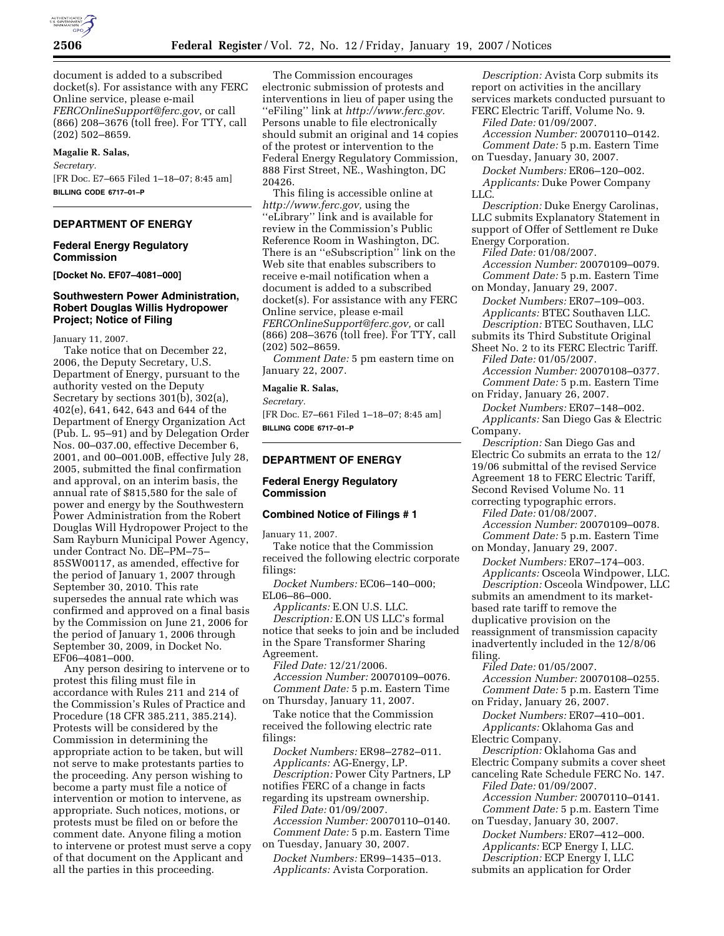

document is added to a subscribed docket(s). For assistance with any FERC Online service, please e-mail *FERCOnlineSupport@ferc.gov*, or call (866) 208–3676 (toll free). For TTY, call (202) 502–8659.

#### **Magalie R. Salas,**

*Secretary.*  [FR Doc. E7–665 Filed 1–18–07; 8:45 am]

**BILLING CODE 6717–01–P** 

## **DEPARTMENT OF ENERGY**

## **Federal Energy Regulatory Commission**

**[Docket No. EF07–4081–000]** 

# **Southwestern Power Administration, Robert Douglas Willis Hydropower Project; Notice of Filing**

January 11, 2007.

Take notice that on December 22, 2006, the Deputy Secretary, U.S. Department of Energy, pursuant to the authority vested on the Deputy Secretary by sections 301(b), 302(a), 402(e), 641, 642, 643 and 644 of the Department of Energy Organization Act (Pub. L. 95–91) and by Delegation Order Nos. 00–037.00, effective December 6, 2001, and 00–001.00B, effective July 28, 2005, submitted the final confirmation and approval, on an interim basis, the annual rate of \$815,580 for the sale of power and energy by the Southwestern Power Administration from the Robert Douglas Will Hydropower Project to the Sam Rayburn Municipal Power Agency, under Contract No. DE–PM–75– 85SW00117, as amended, effective for the period of January 1, 2007 through September 30, 2010. This rate supersedes the annual rate which was confirmed and approved on a final basis by the Commission on June 21, 2006 for the period of January 1, 2006 through September 30, 2009, in Docket No. EF06–4081–000.

Any person desiring to intervene or to protest this filing must file in accordance with Rules 211 and 214 of the Commission's Rules of Practice and Procedure (18 CFR 385.211, 385.214). Protests will be considered by the Commission in determining the appropriate action to be taken, but will not serve to make protestants parties to the proceeding. Any person wishing to become a party must file a notice of intervention or motion to intervene, as appropriate. Such notices, motions, or protests must be filed on or before the comment date. Anyone filing a motion to intervene or protest must serve a copy of that document on the Applicant and all the parties in this proceeding.

The Commission encourages electronic submission of protests and interventions in lieu of paper using the ''eFiling'' link at *http://www.ferc.gov.*  Persons unable to file electronically should submit an original and 14 copies of the protest or intervention to the Federal Energy Regulatory Commission, 888 First Street, NE., Washington, DC 20426.

This filing is accessible online at *http://www.ferc.gov,* using the ''eLibrary'' link and is available for review in the Commission's Public Reference Room in Washington, DC. There is an ''eSubscription'' link on the Web site that enables subscribers to receive e-mail notification when a document is added to a subscribed docket(s). For assistance with any FERC Online service, please e-mail *FERCOnlineSupport@ferc.gov,* or call (866) 208–3676 (toll free). For TTY, call (202) 502–8659.

*Comment Date:* 5 pm eastern time on January 22, 2007.

### **Magalie R. Salas,**

*Secretary.* 

[FR Doc. E7–661 Filed 1–18–07; 8:45 am] **BILLING CODE 6717–01–P** 

# **DEPARTMENT OF ENERGY**

## **Federal Energy Regulatory Commission**

#### **Combined Notice of Filings # 1**

January 11, 2007.

Take notice that the Commission received the following electric corporate filings:

*Docket Numbers:* EC06–140–000; EL06–86–000.

*Applicants:* E.ON U.S. LLC. *Description:* E.ON US LLC's formal notice that seeks to join and be included in the Spare Transformer Sharing Agreement.

*Filed Date:* 12/21/2006. *Accession Number:* 20070109–0076. *Comment Date:* 5 p.m. Eastern Time on Thursday, January 11, 2007.

Take notice that the Commission received the following electric rate filings:

*Docket Numbers:* ER98–2782–011. *Applicants:* AG-Energy, LP. *Description:* Power City Partners, LP notifies FERC of a change in facts regarding its upstream ownership.

*Filed Date:* 01/09/2007. *Accession Number:* 20070110–0140. *Comment Date:* 5 p.m. Eastern Time on Tuesday, January 30, 2007.

*Docket Numbers:* ER99–1435–013. *Applicants:* Avista Corporation.

*Description:* Avista Corp submits its report on activities in the ancillary services markets conducted pursuant to FERC Electric Tariff, Volume No. 9.

*Filed Date:* 01/09/2007. *Accession Number:* 20070110–0142. *Comment Date:* 5 p.m. Eastern Time

on Tuesday, January 30, 2007.

*Docket Numbers:* ER06–120–002. *Applicants:* Duke Power Company LLC.

*Description:* Duke Energy Carolinas, LLC submits Explanatory Statement in support of Offer of Settlement re Duke Energy Corporation.

*Filed Date:* 01/08/2007.

*Accession Number:* 20070109–0079. *Comment Date:* 5 p.m. Eastern Time on Monday, January 29, 2007.

*Docket Numbers:* ER07–109–003. *Applicants:* BTEC Southaven LLC. *Description:* BTEC Southaven, LLC

submits its Third Substitute Original Sheet No. 2 to its FERC Electric Tariff.

*Filed Date:* 01/05/2007.

*Accession Number:* 20070108–0377. *Comment Date:* 5 p.m. Eastern Time on Friday, January 26, 2007.

*Docket Numbers:* ER07–148–002. *Applicants:* San Diego Gas & Electric Company.

*Description:* San Diego Gas and Electric Co submits an errata to the 12/ 19/06 submittal of the revised Service Agreement 18 to FERC Electric Tariff, Second Revised Volume No. 11 correcting typographic errors.

*Filed Date:* 01/08/2007. *Accession Number:* 20070109–0078.

*Comment Date:* 5 p.m. Eastern Time on Monday, January 29, 2007.

*Docket Numbers:* ER07–174–003. *Applicants:* Osceola Windpower, LLC. *Description:* Osceola Windpower, LLC submits an amendment to its marketbased rate tariff to remove the duplicative provision on the reassignment of transmission capacity inadvertently included in the 12/8/06 filing.

*Filed Date:* 01/05/2007.

*Accession Number:* 20070108–0255. *Comment Date:* 5 p.m. Eastern Time on Friday, January 26, 2007.

*Docket Numbers:* ER07–410–001. *Applicants:* Oklahoma Gas and Electric Company.

*Description:* Oklahoma Gas and

Electric Company submits a cover sheet canceling Rate Schedule FERC No. 147.

*Filed Date:* 01/09/2007. *Accession Number:* 20070110–0141. *Comment Date:* 5 p.m. Eastern Time on Tuesday, January 30, 2007.

*Docket Numbers:* ER07–412–000. *Applicants:* ECP Energy I, LLC. *Description:* ECP Energy I, LLC submits an application for Order